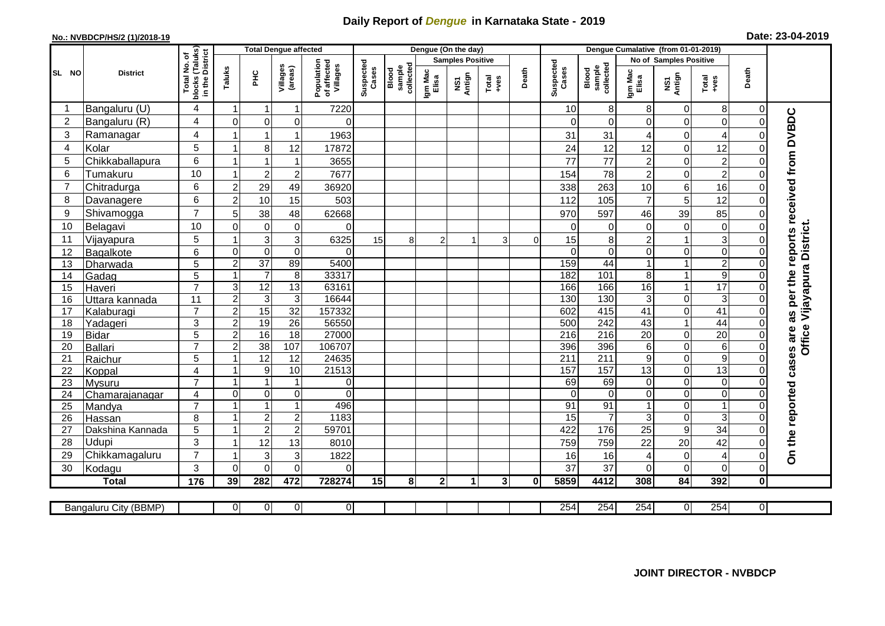## **Daily Report of** *Dengue* **in Karnataka State - 2019**

## **No.: NVBDCP/HS/2 (1)/2018-19**

| Date: 23-04-2019 |  |  |  |  |
|------------------|--|--|--|--|
|------------------|--|--|--|--|

|                |                           |                                  |                         | <b>Total Dengue affected</b>       |                                |                                       | Dengue (On the day) |                              |                  |                         |                                                              |              |                    | Dengue Cumalative (from 01-01-2019) |                                |                               |                             |                |                                        |
|----------------|---------------------------|----------------------------------|-------------------------|------------------------------------|--------------------------------|---------------------------------------|---------------------|------------------------------|------------------|-------------------------|--------------------------------------------------------------|--------------|--------------------|-------------------------------------|--------------------------------|-------------------------------|-----------------------------|----------------|----------------------------------------|
|                |                           | I No. of<br>(Taluks)<br>District |                         |                                    |                                |                                       |                     |                              |                  | <b>Samples Positive</b> |                                                              |              |                    |                                     |                                | <b>No of Samples Positive</b> |                             |                |                                        |
| SL NO          | <b>District</b>           | Total<br>blocks (<br>in the I    | Taluks                  | ΞE                                 | Villages<br>(areas)            | Population<br>of affected<br>Villages | Suspected<br>Cases  | sample<br>collected<br>Blood | Igm Mac<br>Elisa | Antign<br>ΜŚ,           | $\begin{array}{c}\n\text{Total} \\ \text{+ves}\n\end{array}$ | Death        | Suspected<br>Cases | collected<br>sample<br>Blood        | Igm Mac<br>Elisa               | NS1<br>Antign                 | Total<br>+ves               | Death          |                                        |
| -1             | Bangaluru (U)             | 4                                | 1                       | 1                                  | 1                              | 7220                                  |                     |                              |                  |                         |                                                              |              | 10                 | 8                                   | 8                              | 0                             | 8                           | 0              |                                        |
| 2              | Bangaluru (R)             | 4                                | $\Omega$                | $\Omega$                           | 0                              | $\mathbf{0}$                          |                     |                              |                  |                         |                                                              |              | $\Omega$           | $\Omega$                            | 0                              | 0                             | $\mathbf 0$                 | $\Omega$       | as per the reports received from DVBDC |
| 3              | Ramanagar                 | $\overline{4}$                   | $\overline{\mathbf{1}}$ | $\mathbf{1}$                       | $\mathbf{1}$                   | 1963                                  |                     |                              |                  |                         |                                                              |              | 31                 | 31                                  | 4                              | 0                             | $\overline{4}$              |                |                                        |
| $\overline{4}$ | Kolar                     | 5                                | $\overline{\mathbf{1}}$ | 8                                  | 12                             | 17872                                 |                     |                              |                  |                         |                                                              |              | 24                 | 12                                  | 12                             | $\pmb{0}$                     | 12                          |                |                                        |
| 5              | Chikkaballapura           | $6\phantom{1}$                   | 1                       | $\overline{1}$                     | $\overline{1}$                 | 3655                                  |                     |                              |                  |                         |                                                              |              | 77                 | 77                                  | $\overline{c}$                 | $\mathbf 0$                   | $\overline{c}$              | 0              |                                        |
| 6              | Tumakuru                  | 10                               | $\mathbf{1}$            | $\overline{2}$                     | $\overline{c}$                 | 7677                                  |                     |                              |                  |                         |                                                              |              | 154                | 78                                  | $\overline{c}$                 | $\mathsf 0$                   | $\overline{c}$              | 0              |                                        |
| $\overline{7}$ | Chitradurga               | 6                                | $\boldsymbol{2}$        | 29                                 | 49                             | 36920                                 |                     |                              |                  |                         |                                                              |              | 338                | 263                                 | 10                             | 6                             | 16                          | 0              |                                        |
| 8              | Davanagere                | 6                                | $\overline{c}$          | 10                                 | 15                             | 503                                   |                     |                              |                  |                         |                                                              |              | 112                | 105                                 | $\overline{7}$                 | 5                             | 12                          | 0              |                                        |
| 9              | Shivamogga                | $\overline{7}$                   | 5                       | 38                                 | 48                             | 62668                                 |                     |                              |                  |                         |                                                              |              | 970                | 597                                 | 46                             | 39                            | 85                          |                |                                        |
| 10             | Belagavi                  | 10                               | $\Omega$                | $\mathbf 0$                        | 0                              | $\Omega$                              |                     |                              |                  |                         |                                                              |              | $\Omega$           | $\Omega$                            | $\mathbf 0$                    | 0                             | $\mathbf 0$                 |                | Office Vijayapura District.            |
| 11             | Vijayapura                | 5                                |                         | $\mathbf{3}$                       | 3                              | 6325                                  | 15                  | 8                            | $\overline{2}$   |                         | 3                                                            | 0            | 15                 | 8                                   | $\overline{c}$                 | $\mathbf{1}$                  | 3                           |                |                                        |
| 12             | Bagalkote                 | 6                                | 0                       | $\mathbf 0$                        | $\mathsf 0$                    | $\Omega$                              |                     |                              |                  |                         |                                                              |              | $\Omega$           | $\Omega$                            | 0                              | $\pmb{0}$                     | $\boldsymbol{0}$            | $\Omega$       |                                        |
| 13             | Dharwada                  | 5                                | $\overline{c}$          | $\overline{37}$                    | 89                             | 5400                                  |                     |                              |                  |                         |                                                              |              | 159                | 44                                  | $\mathbf{1}$                   | $\mathbf{1}$                  | $\overline{2}$              |                |                                        |
| 14             | Gadag                     | 5                                | $\mathbf{1}$            | $\overline{7}$                     | $\bf 8$                        | 33317                                 |                     |                              |                  |                         |                                                              |              | 182                | 101                                 | 8 <sup>1</sup>                 | $\mathbf{1}$                  | $\boldsymbol{9}$            |                |                                        |
| 15             | Haveri                    | $\overline{7}$                   | 3                       | 12                                 | 13                             | 63161                                 |                     |                              |                  |                         |                                                              |              | 166                | 166                                 | 16                             | $\overline{1}$                | 17                          |                |                                        |
| 16             | <u>Uttara kannada</u>     | 11                               | $\overline{2}$          | $\ensuremath{\mathsf{3}}$          | $\mathbf{3}$                   | 16644                                 |                     |                              |                  |                         |                                                              |              | 130                | 130                                 | $\overline{3}$                 | $\mathsf 0$                   | 3                           |                |                                        |
| 17             | Kalaburagi                | $\overline{7}$                   | $\overline{2}$          | 15                                 | $\overline{32}$                | 157332                                |                     |                              |                  |                         |                                                              |              | 602                | 415                                 | 41                             | $\overline{0}$                | 41                          |                |                                        |
| 18             | Yadageri                  | 3                                | $\overline{2}$          | 19                                 | $\overline{26}$                | 56550                                 |                     |                              |                  |                         |                                                              |              | 500                | $\overline{242}$                    | 43                             | $\mathbf{1}$                  | 44                          |                |                                        |
| 19             | <b>Bidar</b>              | 5                                | $\overline{2}$          | 16                                 | $\overline{18}$                | 27000                                 |                     |                              |                  |                         |                                                              |              | $\overline{216}$   | 216                                 | $\overline{20}$                | $\overline{0}$                | 20                          |                |                                        |
| 20             | Ballari                   | $\overline{7}$                   | $\mathbf 2$             | 38                                 | 107                            | 106707                                |                     |                              |                  |                         |                                                              |              | 396                | 396                                 | 6                              | 0                             | $\,6$                       | 0              |                                        |
| 21             | Raichur                   | 5                                | $\overline{\mathbf{1}}$ | $\overline{12}$                    | 12                             | 24635                                 |                     |                              |                  |                         |                                                              |              | 211                | $\overline{211}$                    | $\overline{9}$                 | 0                             | 9                           | $\Omega$       |                                        |
| 22             | Koppal                    | $\overline{4}$                   | $\overline{1}$          | $\boldsymbol{9}$                   | 10                             | 21513                                 |                     |                              |                  |                         |                                                              |              | 157                | 157                                 | 13                             | $\mathbf 0$                   | 13                          | $\Omega$       |                                        |
| 23             | Mysuru                    | $\overline{7}$                   | $\mathbf{1}$            | $\mathbf{1}$                       | $\mathbf{1}$                   | $\overline{0}$                        |                     |                              |                  |                         |                                                              |              | 69                 | 69                                  | $\overline{0}$                 | $\mathsf{O}\xspace$           | $\pmb{0}$                   | $\Omega$       |                                        |
| 24             | Chamarajanagar            | $\overline{4}$<br>$\overline{7}$ | 0<br>1                  | $\mathbf 0$                        | $\mathbf 0$                    | $\mathbf 0$                           |                     |                              |                  |                         |                                                              |              | $\Omega$           | $\mathbf 0$                         | $\overline{0}$                 | $\overline{0}$                | $\pmb{0}$<br>$\overline{1}$ | 0              |                                        |
| 25             | Mandya                    |                                  | $\mathbf{1}$            | $\mathbf{1}$                       | $\mathbf{1}$<br>$\overline{c}$ | 496<br>1183                           |                     |                              |                  |                         |                                                              |              | 91                 | 91<br>$\overline{7}$                | $\mathbf{1}$<br>$\overline{3}$ | $\mathsf 0$<br>$\mathbf 0$    | $\mathbf{3}$                | 0              |                                        |
| 26             | Hassan                    | 8                                | 1                       | $\boldsymbol{2}$<br>$\overline{c}$ | $\overline{2}$                 | 59701                                 |                     |                              |                  |                         |                                                              |              | 15<br>422          | 176                                 | 25                             | 9                             | $\overline{34}$             |                |                                        |
| 27<br>28       | Dakshina Kannada<br>Udupi | 5<br>3                           | $\overline{\mathbf{1}}$ | 12                                 | 13                             | 8010                                  |                     |                              |                  |                         |                                                              |              | 759                | 759                                 | 22                             | 20                            | 42                          |                |                                        |
| 29             | Chikkamagaluru            | $\overline{7}$                   | $\overline{\mathbf{1}}$ | 3                                  | 3                              | 1822                                  |                     |                              |                  |                         |                                                              |              | 16                 | 16                                  | 4                              | 0                             | $\overline{4}$              |                | On the reported cases are              |
| 30             | Kodagu                    | 3                                | $\Omega$                | $\Omega$                           | 0                              | $\Omega$                              |                     |                              |                  |                         |                                                              |              | 37                 | 37                                  | 0                              | 0                             | $\mathbf 0$                 | $\Omega$       |                                        |
|                | <b>Total</b>              | $\frac{1}{176}$                  | 39                      | 282                                | 472                            | 728274                                | 15                  | 8                            | $\mathbf 2$      | 1                       | 3                                                            | $\mathbf{0}$ | 5859               | 4412                                | 308                            | $\overline{84}$               | 392                         | $\mathbf{0}$   |                                        |
|                |                           |                                  |                         |                                    |                                |                                       |                     |                              |                  |                         |                                                              |              |                    |                                     |                                |                               |                             |                |                                        |
|                | Bangaluru City (BBMP)     |                                  | $\overline{0}$          | $\overline{0}$                     | $\overline{0}$                 | $\overline{0}$                        |                     |                              |                  |                         |                                                              |              | 254                | 254                                 | 254                            | $\overline{0}$                | 254                         | $\overline{0}$ |                                        |